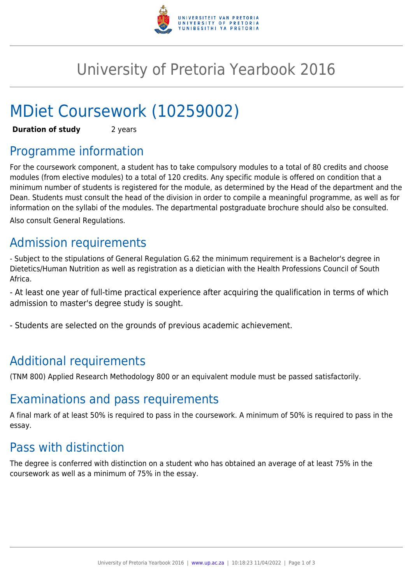

# University of Pretoria Yearbook 2016

# MDiet Coursework (10259002)

**Duration of study** 2 years

# Programme information

For the coursework component, a student has to take compulsory modules to a total of 80 credits and choose modules (from elective modules) to a total of 120 credits. Any specific module is offered on condition that a minimum number of students is registered for the module, as determined by the Head of the department and the Dean. Students must consult the head of the division in order to compile a meaningful programme, as well as for information on the syllabi of the modules. The departmental postgraduate brochure should also be consulted. Also consult General Regulations.

# Admission requirements

- Subject to the stipulations of General Regulation G.62 the minimum requirement is a Bachelor's degree in Dietetics/Human Nutrition as well as registration as a dietician with the Health Professions Council of South Africa.

- At least one year of full-time practical experience after acquiring the qualification in terms of which admission to master's degree study is sought.

- Students are selected on the grounds of previous academic achievement.

# Additional requirements

(TNM 800) Applied Research Methodology 800 or an equivalent module must be passed satisfactorily.

### Examinations and pass requirements

A final mark of at least 50% is required to pass in the coursework. A minimum of 50% is required to pass in the essay.

### Pass with distinction

The degree is conferred with distinction on a student who has obtained an average of at least 75% in the coursework as well as a minimum of 75% in the essay.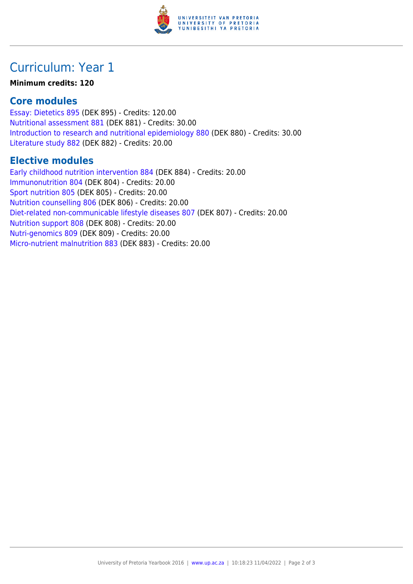

# Curriculum: Year 1

#### **Minimum credits: 120**

### **Core modules**

[Essay: Dietetics 895](https://www.up.ac.za/yearbooks/2016/modules/view/DEK 895) (DEK 895) - Credits: 120.00 [Nutritional assessment 881](https://www.up.ac.za/yearbooks/2016/modules/view/DEK 881) (DEK 881) - Credits: 30.00 [Introduction to research and nutritional epidemiology 880](https://www.up.ac.za/yearbooks/2016/modules/view/DEK 880) (DEK 880) - Credits: 30.00 [Literature study 882](https://www.up.ac.za/yearbooks/2016/modules/view/DEK 882) (DEK 882) - Credits: 20.00

### **Elective modules**

[Early childhood nutrition intervention 884](https://www.up.ac.za/yearbooks/2016/modules/view/DEK 884) (DEK 884) - Credits: 20.00 [Immunonutrition 804](https://www.up.ac.za/yearbooks/2016/modules/view/DEK 804) (DEK 804) - Credits: 20.00 [Sport nutrition 805](https://www.up.ac.za/yearbooks/2016/modules/view/DEK 805) (DEK 805) - Credits: 20.00 [Nutrition counselling 806](https://www.up.ac.za/yearbooks/2016/modules/view/DEK 806) (DEK 806) - Credits: 20.00 [Diet-related non-communicable lifestyle diseases 807](https://www.up.ac.za/yearbooks/2016/modules/view/DEK 807) (DEK 807) - Credits: 20.00 [Nutrition support 808](https://www.up.ac.za/yearbooks/2016/modules/view/DEK 808) (DEK 808) - Credits: 20.00 [Nutri-genomics 809](https://www.up.ac.za/yearbooks/2016/modules/view/DEK 809) (DEK 809) - Credits: 20.00 [Micro-nutrient malnutrition 883](https://www.up.ac.za/yearbooks/2016/modules/view/DEK 883) (DEK 883) - Credits: 20.00